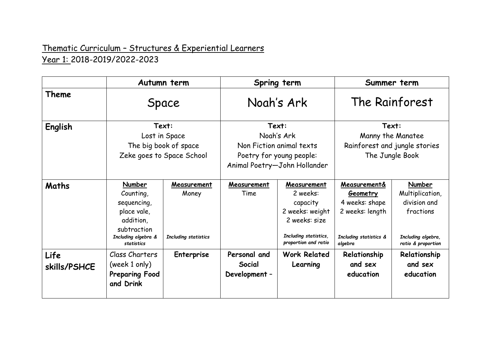## Thematic Curriculum – Structures & Experiential Learners Year 1: 2018-2019/2022-2023

|                      | Autumn term<br>Space<br>Text:<br>Lost in Space<br>The big book of space<br>Zeke goes to Space School               |                                              | Spring term<br>Nogh's Ark<br>Text:<br>Noah's Ark<br>Non Fiction animal texts<br>Poetry for young people:<br>Animal Poetry-John Hollander |                                                                                                                          | Summer term<br>The Rainforest<br>Text:<br>Manny the Manatee<br>Rainforest and jungle stories<br>The Jungle Book |                                                                                                    |
|----------------------|--------------------------------------------------------------------------------------------------------------------|----------------------------------------------|------------------------------------------------------------------------------------------------------------------------------------------|--------------------------------------------------------------------------------------------------------------------------|-----------------------------------------------------------------------------------------------------------------|----------------------------------------------------------------------------------------------------|
| Theme                |                                                                                                                    |                                              |                                                                                                                                          |                                                                                                                          |                                                                                                                 |                                                                                                    |
| English              |                                                                                                                    |                                              |                                                                                                                                          |                                                                                                                          |                                                                                                                 |                                                                                                    |
| Maths                | Number<br>Counting,<br>sequencing,<br>place vale,<br>addition,<br>subtraction<br>Including algebra &<br>statistics | Measurement<br>Money<br>Including statistics | Measurement<br>Time                                                                                                                      | Measurement<br>2 weeks:<br>capacity<br>2 weeks: weight<br>2 weeks: size<br>Including statistics,<br>proportion and ratio | Measurement&<br>Geometry<br>4 weeks: shape<br>2 weeks: length<br>Including statistics &<br>algebra              | Number<br>Multiplication,<br>division and<br>fractions<br>Including algebra,<br>ratio & proportion |
| Life<br>skills/PSHCE | Class Charters<br>(week 1 only)<br><b>Preparing Food</b><br>and Drink                                              | <b>Enterprise</b>                            | Personal and<br>Social<br>Development -                                                                                                  | <b>Work Related</b><br>Learning                                                                                          | Relationship<br>and sex<br>education                                                                            | Relationship<br>and sex<br>education                                                               |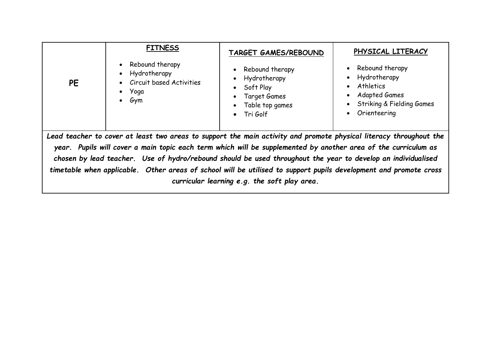| PHYSICAL LITERACY<br><b>TARGET GAMES/REBOUND</b><br>Rebound therapy<br>• Rebound therapy<br>Rebound therapy<br>Hydrotherapy<br>Hydrotherapy<br>Hydrotherapy<br>Circuit based Activities<br><b>PE</b><br>Athletics<br>Soft Play<br>$\bullet$ Yoga<br><b>Adapted Games</b><br>Target Games<br>$\bullet$ Gym<br><b>Striking &amp; Fielding Games</b><br>Table top games<br>Orienteering<br>$\bullet$ Tri Golf |  |  |  |  |  |  |  |
|------------------------------------------------------------------------------------------------------------------------------------------------------------------------------------------------------------------------------------------------------------------------------------------------------------------------------------------------------------------------------------------------------------|--|--|--|--|--|--|--|
| Lead teacher to cover at least two areas to support the main activity and promote physical literacy throughout the                                                                                                                                                                                                                                                                                         |  |  |  |  |  |  |  |
| year. Pupils will cover a main topic each term which will be supplemented by another area of the curriculum as                                                                                                                                                                                                                                                                                             |  |  |  |  |  |  |  |
| chosen by lead teacher. Use of hydro/rebound should be used throughout the year to develop an individualised                                                                                                                                                                                                                                                                                               |  |  |  |  |  |  |  |
| timetable when applicable. Other areas of school will be utilised to support pupils development and promote cross                                                                                                                                                                                                                                                                                          |  |  |  |  |  |  |  |
| curricular learning e.g. the soft play area.                                                                                                                                                                                                                                                                                                                                                               |  |  |  |  |  |  |  |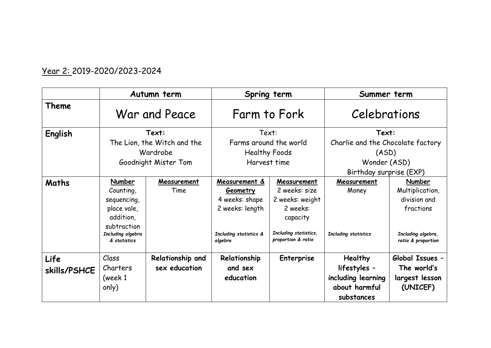## Year 2: 2019-2020/2023-2024

|                      | Autumn term                                                                                                        |                                   | Spring term                                                                                                |                                                                                                                        | Summer term                                                                                    |                                                                                                    |
|----------------------|--------------------------------------------------------------------------------------------------------------------|-----------------------------------|------------------------------------------------------------------------------------------------------------|------------------------------------------------------------------------------------------------------------------------|------------------------------------------------------------------------------------------------|----------------------------------------------------------------------------------------------------|
| Theme                | War and Peace                                                                                                      |                                   | Farm to Fork                                                                                               |                                                                                                                        | Celebrations                                                                                   |                                                                                                    |
| English              | Text:<br>The Lion, the Witch and the<br>Wardrobe<br>Goodnight Mister Tom                                           |                                   | Text:<br>Farms around the world<br><b>Healthy Foods</b><br>Harvest time                                    |                                                                                                                        | Text:<br>Charlie and the Chocolate factory<br>(ASD)<br>Wonder (ASD)<br>Birthday surprise (EXP) |                                                                                                    |
| Maths                | Number<br>Counting,<br>sequencing,<br>place vale,<br>addition,<br>subtraction<br>Including algebra<br>& statistics | Measurement<br>Time               | Measurement &<br><b>Geometry</b><br>4 weeks: shape<br>2 weeks: length<br>Including statistics &<br>algebra | Measurement<br>2 weeks: size<br>2 weeks: weight<br>2 weeks:<br>capacity<br>Including statistics,<br>proportion & ratio | Measurement<br>Money<br>Including statistics                                                   | Number<br>Multiplication,<br>division and<br>fractions<br>Including algebra,<br>ratio & proportion |
| Life<br>skills/PSHCE | Class<br>Charters<br>(week 1<br>only)                                                                              | Relationship and<br>sex education | Relationship<br>and sex<br>education                                                                       | <b>Enterprise</b>                                                                                                      | <b>Healthy</b><br>lifestyles -<br>including learning<br>about harmful<br>substances            | Global Issues -<br>The world's<br>largest lesson<br>(UNICEF)                                       |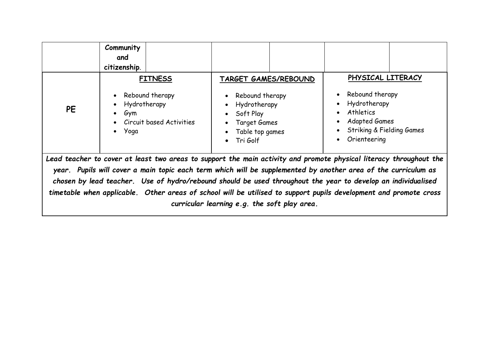|                                                                                                                                                                                                                                                                                                                                                                                                                                                                           | Community<br>and<br>citizenship.                                                                                                        |                                                                                                                                               |                                                                                                                                                                                                                           |  |  |  |  |
|---------------------------------------------------------------------------------------------------------------------------------------------------------------------------------------------------------------------------------------------------------------------------------------------------------------------------------------------------------------------------------------------------------------------------------------------------------------------------|-----------------------------------------------------------------------------------------------------------------------------------------|-----------------------------------------------------------------------------------------------------------------------------------------------|---------------------------------------------------------------------------------------------------------------------------------------------------------------------------------------------------------------------------|--|--|--|--|
| <b>PE</b>                                                                                                                                                                                                                                                                                                                                                                                                                                                                 | <b>FITNESS</b><br>Rebound therapy<br>$\bullet$<br>Hydrotherapy<br>$\bullet$<br>Gym<br>$\bullet$<br>Circuit based Activities<br>• $Yoga$ | TARGET GAMES/REBOUND<br>Rebound therapy<br>Hydrotherapy<br>Soft Play<br>$\bullet$<br>Target Games<br>Table top games<br>Tri Golf<br>$\bullet$ | PHYSICAL LITERACY<br>Rebound therapy<br>$\bullet$<br>Hydrotherapy<br>$\bullet$<br><b>Athletics</b><br>$\bullet$<br><b>Adapted Games</b><br>$\bullet$<br><b>Striking &amp; Fielding Games</b><br>Orienteering<br>$\bullet$ |  |  |  |  |
| Lead teacher to cover at least two areas to support the main activity and promote physical literacy throughout the<br>year. Pupils will cover a main topic each term which will be supplemented by another area of the curriculum as<br>chosen by lead teacher. Use of hydro/rebound should be used throughout the year to develop an individualised<br>timetable when applicable. Other areas of school will be utilised to support pupils development and promote cross |                                                                                                                                         |                                                                                                                                               |                                                                                                                                                                                                                           |  |  |  |  |

*curricular learning e.g. the soft play area.*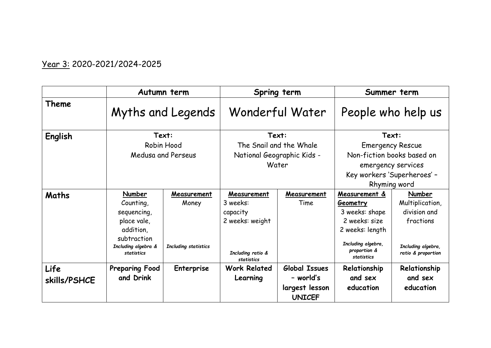## Year 3: 2020-2021/2024-2025

|                      | Autumn term                                                                                                        |                                              | Spring term                                                                               |                                                               | Summer term                                                                                                                                       |                                                                                                    |
|----------------------|--------------------------------------------------------------------------------------------------------------------|----------------------------------------------|-------------------------------------------------------------------------------------------|---------------------------------------------------------------|---------------------------------------------------------------------------------------------------------------------------------------------------|----------------------------------------------------------------------------------------------------|
| Theme                | Myths and Legends                                                                                                  |                                              | Wonderful Water                                                                           |                                                               | People who help us                                                                                                                                |                                                                                                    |
| English              | Text:<br>Robin Hood<br>Medusa and Perseus                                                                          |                                              | Text:<br>The Snail and the Whale<br>National Geographic Kids -                            |                                                               | Text:<br><b>Emergency Rescue</b><br>Non-fiction books based on                                                                                    |                                                                                                    |
|                      |                                                                                                                    |                                              | Water                                                                                     |                                                               | emergency services<br>Key workers 'Superheroes' -<br>Rhyming word                                                                                 |                                                                                                    |
| <b>Maths</b>         | Number<br>Counting,<br>sequencing,<br>place vale,<br>addition,<br>subtraction<br>Including algebra &<br>statistics | Measurement<br>Money<br>Including statistics | Measurement<br>3 weeks:<br>capacity<br>2 weeks: weight<br>Including ratio &<br>statistics | Measurement<br>Time                                           | Measurement &<br><b>Geometry</b><br>3 weeks: shape<br>2 weeks: size<br>2 weeks: length<br>Including algebra,<br>proportion &<br><b>statistics</b> | Number<br>Multiplication,<br>division and<br>fractions<br>Including algebra,<br>ratio & proportion |
| Life<br>skills/PSHCE | <b>Preparing Food</b><br>and Drink                                                                                 | <b>Enterprise</b>                            | <b>Work Related</b><br>Learning                                                           | Global Issues<br>- world's<br>largest lesson<br><b>UNICEF</b> | Relationship<br>and sex<br>education                                                                                                              | Relationship<br>and sex<br>education                                                               |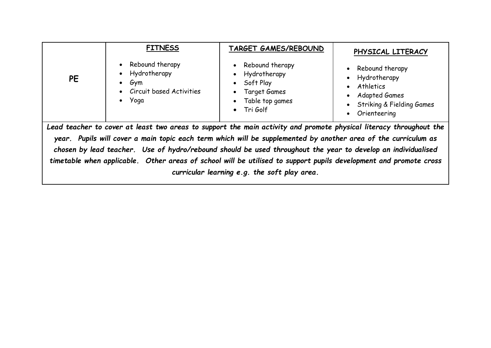|                                                                                                                                                                                                                                                                                                                                                                                                                                                                                                                           | <b>FITNESS</b><br>Rebound therapy                                                                                                                                                                   | <b>TARGET GAMES/REBOUND</b><br>• Rebound therapy | PHYSICAL LITERACY<br>• Rebound therapy                                                    |  |  |  |
|---------------------------------------------------------------------------------------------------------------------------------------------------------------------------------------------------------------------------------------------------------------------------------------------------------------------------------------------------------------------------------------------------------------------------------------------------------------------------------------------------------------------------|-----------------------------------------------------------------------------------------------------------------------------------------------------------------------------------------------------|--------------------------------------------------|-------------------------------------------------------------------------------------------|--|--|--|
| <b>PE</b>                                                                                                                                                                                                                                                                                                                                                                                                                                                                                                                 | Hydrotherapy<br>• Hydrotherapy<br>• Soft Play<br>Gym<br>$\bullet$<br><b>Circuit based Activities</b><br>Target Games<br>$\bullet$<br>• $Yoga$<br>Table top games<br>$\bullet$<br>$\bullet$ Tri Golf |                                                  | Hydrotherapy<br>Athletics<br>Adapted Games<br>• Striking & Fielding Games<br>Orienteering |  |  |  |
| Lead teacher to cover at least two areas to support the main activity and promote physical literacy throughout the<br>year. Pupils will cover a main topic each term which will be supplemented by another area of the curriculum as<br>chosen by lead teacher. Use of hydro/rebound should be used throughout the year to develop an individualised<br>timetable when applicable. Other areas of school will be utilised to support pupils development and promote cross<br>curricular learning e.g. the soft play area. |                                                                                                                                                                                                     |                                                  |                                                                                           |  |  |  |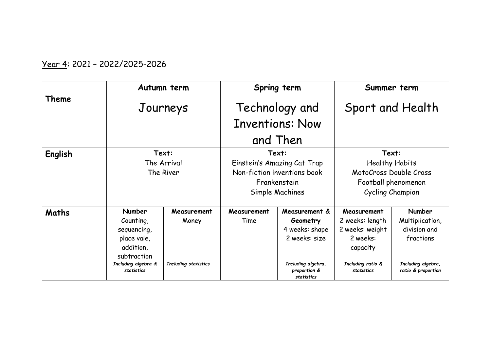## Year 4: 2021 – 2022/2025-2026

|         | Autumn term                                                                                                        |                                                     | Spring term                                                                                            |                                                                                                                         | Summer term                                                                                                  |                                                                                                    |
|---------|--------------------------------------------------------------------------------------------------------------------|-----------------------------------------------------|--------------------------------------------------------------------------------------------------------|-------------------------------------------------------------------------------------------------------------------------|--------------------------------------------------------------------------------------------------------------|----------------------------------------------------------------------------------------------------|
| Theme   | Journeys                                                                                                           |                                                     | Technology and<br><b>Inventions: Now</b><br>and Then                                                   |                                                                                                                         | Sport and Health                                                                                             |                                                                                                    |
| English |                                                                                                                    | Text:<br>The Arrival<br>The River                   | Text:<br>Einstein's Amazing Cat Trap<br>Non-fiction inventions book<br>Frankenstein<br>Simple Machines |                                                                                                                         | Text:<br><b>Healthy Habits</b><br>MotoCross Double Cross<br>Football phenomenon<br>Cycling Champion          |                                                                                                    |
| Maths   | Number<br>Counting,<br>sequencing,<br>place vale,<br>addition,<br>subtraction<br>Including algebra &<br>statistics | Measurement<br>Money<br><b>Including statistics</b> | Measurement<br>Time                                                                                    | Measurement &<br><b>Geometry</b><br>4 weeks: shape<br>2 weeks: size<br>Including algebra,<br>proportion &<br>statistics | Measurement<br>2 weeks: length<br>2 weeks: weight<br>2 weeks:<br>capacity<br>Including ratio &<br>statistics | Number<br>Multiplication,<br>division and<br>fractions<br>Including algebra,<br>ratio & proportion |